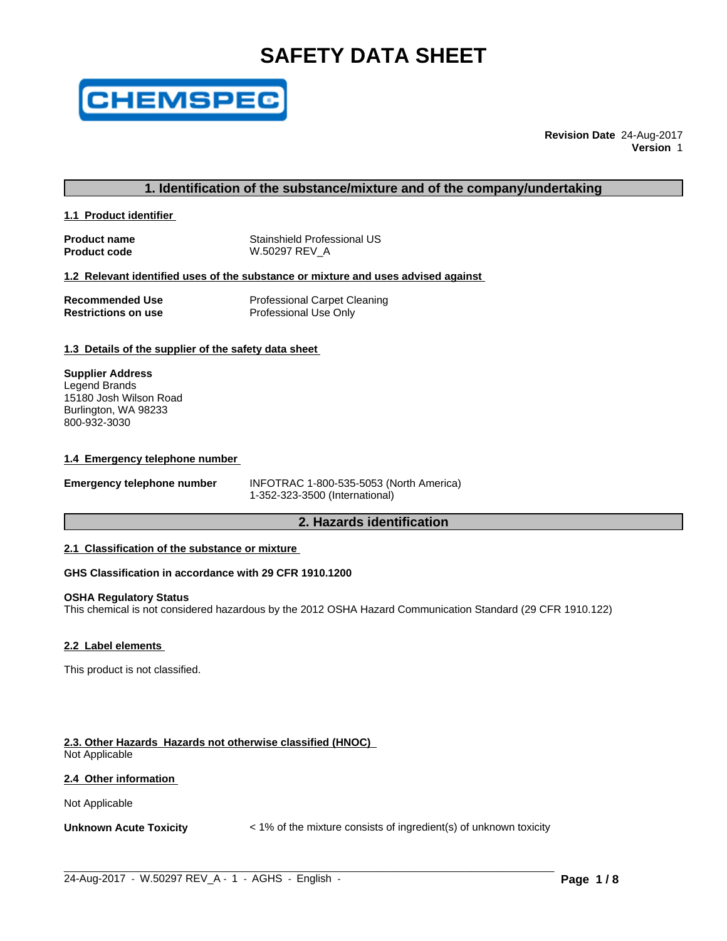# **SAFETY DATA SHEET**



**Revision Date** 24-Aug-2017 **Version** 1

# **1. Identification of the substance/mixture and of the company/undertaking**

**1.1 Product identifier** 

**Product name** Stainshield Professional US **Product code W.50297 REV\_A** 

#### **1.2 Relevant identified uses of the substance or mixture and uses advised against**

| Recommended Use     | <b>Professional Carpet Cleaning</b> |
|---------------------|-------------------------------------|
| Restrictions on use | Professional Use Only               |

### **1.3 Details of the supplier of the safety data sheet**

**Supplier Address** Legend Brands 15180 Josh Wilson Road Burlington, WA 98233 800-932-3030

#### **1.4 Emergency telephone number**

**Emergency telephone number** INFOTRAC 1-800-535-5053 (North America) 1-352-323-3500 (International)

# **2. Hazards identification**

### **2.1 Classification of the substance or mixture**

#### **GHS Classification in accordance with 29 CFR 1910.1200**

#### **OSHA Regulatory Status**

This chemical is not considered hazardous by the 2012 OSHA Hazard Communication Standard (29 CFR 1910.122)

#### **2.2 Label elements**

This product is not classified.

# **2.3. Other Hazards Hazards not otherwise classified (HNOC)**

Not Applicable

### **2.4 Other information**

Not Applicable

**Unknown Acute Toxicity**  $\leq 1\%$  of the mixture consists of ingredient(s) of unknown toxicity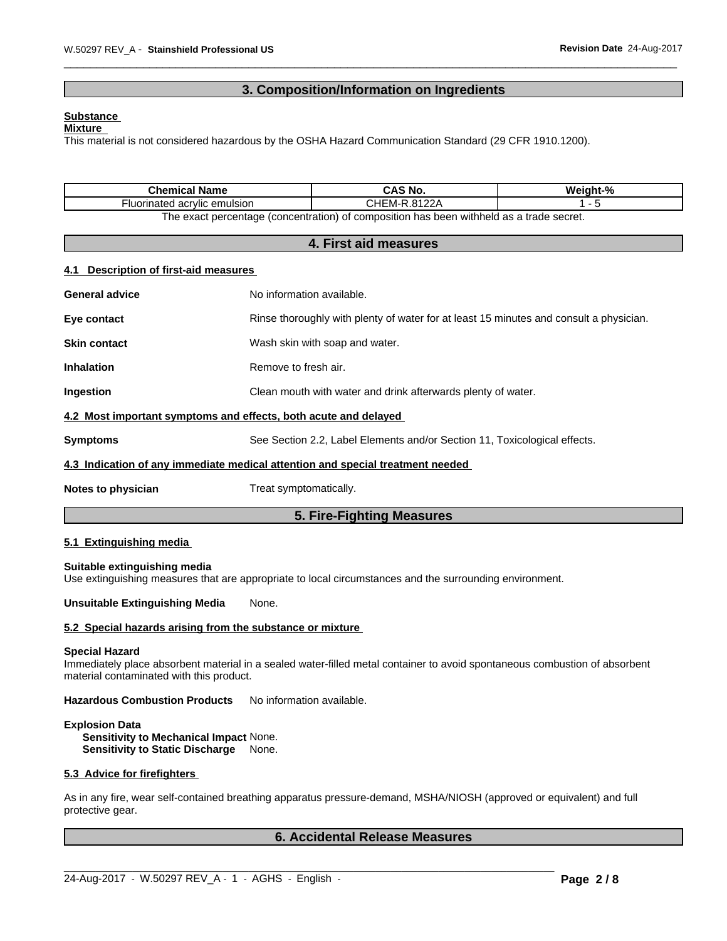# **3. Composition/Information on Ingredients**

#### **Substance**

#### **Mixture**

This material is not considered hazardous by the OSHA Hazard Communication Standard (29 CFR 1910.1200).

| <b>Chemical Name</b>                                                           |                                                                                        | <b>CAS No.</b>                                                                                          | Weight-% |  |
|--------------------------------------------------------------------------------|----------------------------------------------------------------------------------------|---------------------------------------------------------------------------------------------------------|----------|--|
| Fluorinated acrylic emulsion                                                   |                                                                                        | CHEM-R.8122A                                                                                            | $1 - 5$  |  |
|                                                                                |                                                                                        | The exact percentage (concentration) of composition has been withheld as a trade secret.                |          |  |
|                                                                                |                                                                                        | 4. First aid measures                                                                                   |          |  |
| <b>Description of first-aid measures</b><br>4.1                                |                                                                                        |                                                                                                         |          |  |
| <b>General advice</b>                                                          | No information available.                                                              |                                                                                                         |          |  |
| Eye contact                                                                    | Rinse thoroughly with plenty of water for at least 15 minutes and consult a physician. |                                                                                                         |          |  |
| <b>Skin contact</b>                                                            | Wash skin with soap and water.                                                         |                                                                                                         |          |  |
| <b>Inhalation</b>                                                              | Remove to fresh air.                                                                   |                                                                                                         |          |  |
| Ingestion                                                                      | Clean mouth with water and drink afterwards plenty of water.                           |                                                                                                         |          |  |
| 4.2 Most important symptoms and effects, both acute and delayed                |                                                                                        |                                                                                                         |          |  |
| <b>Symptoms</b>                                                                | See Section 2.2, Label Elements and/or Section 11, Toxicological effects.              |                                                                                                         |          |  |
| 4.3 Indication of any immediate medical attention and special treatment needed |                                                                                        |                                                                                                         |          |  |
| Notes to physician                                                             | Treat symptomatically.                                                                 |                                                                                                         |          |  |
|                                                                                |                                                                                        | 5. Fire-Fighting Measures                                                                               |          |  |
| 5.1 Extinguishing media                                                        |                                                                                        |                                                                                                         |          |  |
| Suitable extinguishing media                                                   |                                                                                        | Use extinguishing measures that are appropriate to local circumstances and the surrounding environment. |          |  |
| <b>Unsuitable Extinguishing Media</b>                                          | None.                                                                                  |                                                                                                         |          |  |

#### **5.2 Special hazards arising from the substance or mixture**

#### **Special Hazard**

Immediately place absorbent material in a sealed water-filled metal container to avoid spontaneous combustion of absorbent material contaminated with this product.

**Hazardous Combustion Products** No information available.

# **Explosion Data**

**Sensitivity to Mechanical Impact** None. **Sensitivity to Static Discharge** None.

#### **5.3 Advice for firefighters**

As in any fire, wear self-contained breathing apparatus pressure-demand, MSHA/NIOSH (approved or equivalent) and full protective gear.

 $\_$  ,  $\_$  ,  $\_$  ,  $\_$  ,  $\_$  ,  $\_$  ,  $\_$  ,  $\_$  ,  $\_$  ,  $\_$  ,  $\_$  ,  $\_$  ,  $\_$  ,  $\_$  ,  $\_$  ,  $\_$  ,  $\_$  ,  $\_$  ,  $\_$  ,  $\_$  ,  $\_$  ,  $\_$  ,  $\_$  ,  $\_$  ,  $\_$  ,  $\_$  ,  $\_$  ,  $\_$  ,  $\_$  ,  $\_$  ,  $\_$  ,  $\_$  ,  $\_$  ,  $\_$  ,  $\_$  ,  $\_$  ,  $\_$  ,

# **6. Accidental Release Measures**

24-Aug-2017 - W.50297 REV\_A - 1 - AGHS - English - **Page 2 / 8**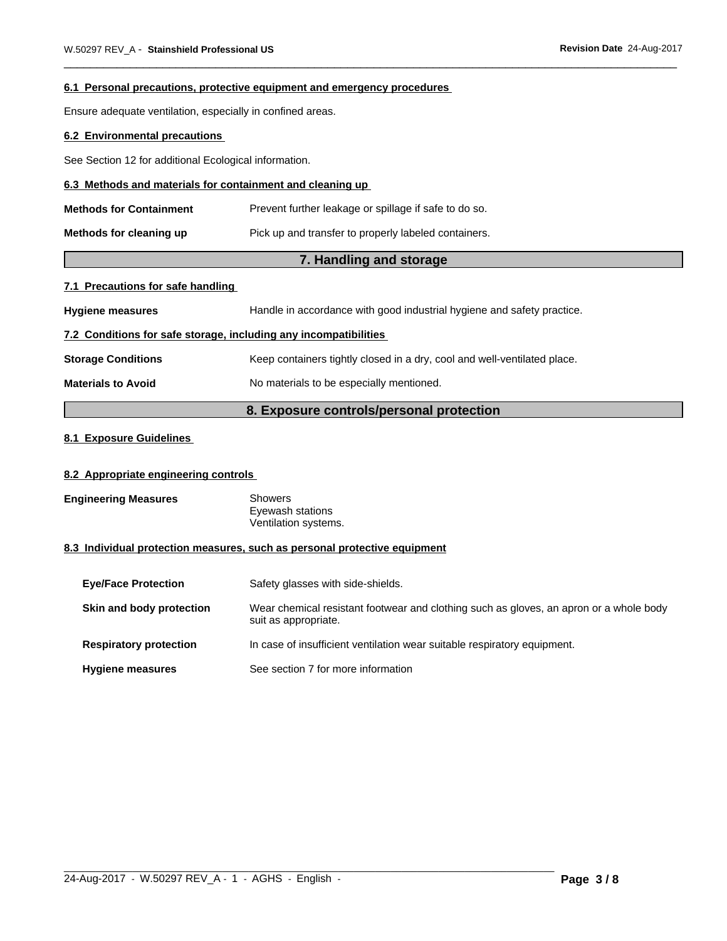#### **6.1 Personal precautions, protective equipment and emergency procedures**

Ensure adequate ventilation, especially in confined areas.

# **6.2 Environmental precautions**

See Section 12 for additional Ecological information.

## **6.3 Methods and materials for containment and cleaning up**

| <b>Methods for Containment</b> | Prevent further leakage or spillage if safe to do so. |
|--------------------------------|-------------------------------------------------------|
| Methods for cleaning up        | Pick up and transfer to properly labeled containers.  |

# **7. Handling and storage**

# **7.1 Precautions for safe handling**

**Hygiene measures** Handle in accordance with good industrial hygiene and safety practice.

# **7.2 Conditions for safe storage, including any incompatibilities**

**Storage Conditions** Keep containers tightly closed in a dry, cool and well-ventilated place.

**Materials to Avoid** No materials to be especially mentioned.

# **8. Exposure controls/personal protection**

# **8.1 Exposure Guidelines**

# **8.2 Appropriate engineering controls**

| <b>Engineering Measures</b> | Showers              |
|-----------------------------|----------------------|
|                             | Eyewash stations     |
|                             | Ventilation systems. |

# **8.3 Individual protection measures, such as personal protective equipment**

| <b>Eye/Face Protection</b>    | Safety glasses with side-shields.                                                                              |
|-------------------------------|----------------------------------------------------------------------------------------------------------------|
| Skin and body protection      | Wear chemical resistant footwear and clothing such as gloves, an apron or a whole body<br>suit as appropriate. |
| <b>Respiratory protection</b> | In case of insufficient ventilation wear suitable respiratory equipment.                                       |
| <b>Hygiene measures</b>       | See section 7 for more information                                                                             |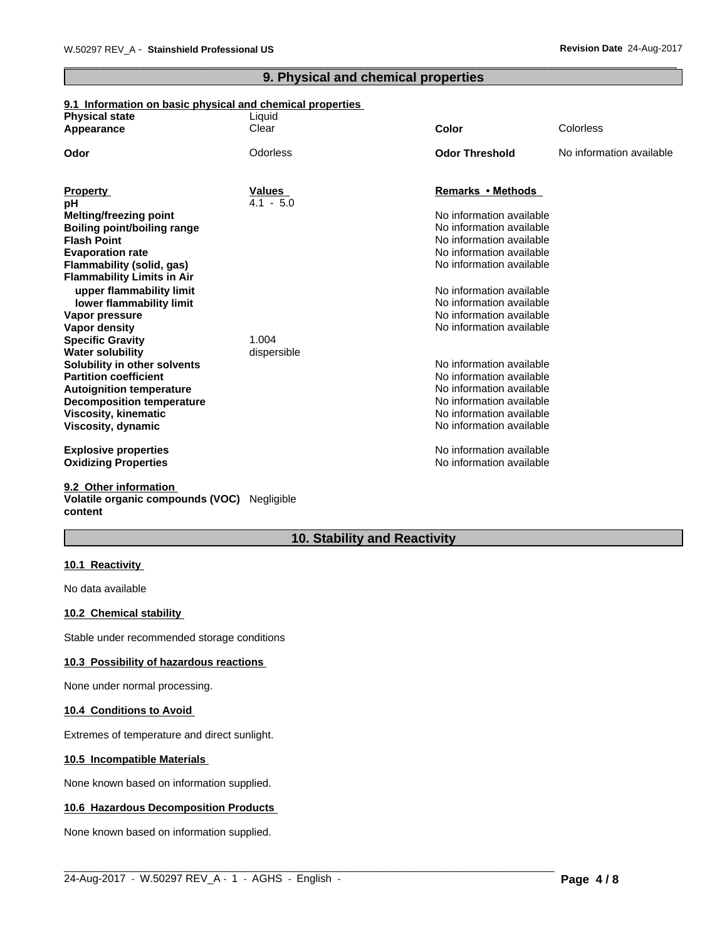# **9. Physical and chemical properties**

# **9.1 Information on basic physical and chemical properties**

| <b>Physical state</b><br>Appearance | Liquid<br>Clear | <b>Color</b>             | Colorless                |
|-------------------------------------|-----------------|--------------------------|--------------------------|
|                                     |                 |                          |                          |
| Odor                                | Odorless        | <b>Odor Threshold</b>    | No information available |
|                                     |                 |                          |                          |
| <b>Property</b>                     | Values          | Remarks • Methods        |                          |
| рH                                  | $4.1 - 5.0$     |                          |                          |
| <b>Melting/freezing point</b>       |                 | No information available |                          |
| <b>Boiling point/boiling range</b>  |                 | No information available |                          |
| <b>Flash Point</b>                  |                 | No information available |                          |
| <b>Evaporation rate</b>             |                 | No information available |                          |
| Flammability (solid, gas)           |                 | No information available |                          |
| <b>Flammability Limits in Air</b>   |                 |                          |                          |
| upper flammability limit            |                 | No information available |                          |
| lower flammability limit            |                 | No information available |                          |
| Vapor pressure                      |                 | No information available |                          |
| Vapor density                       |                 | No information available |                          |
| <b>Specific Gravity</b>             | 1.004           |                          |                          |
| <b>Water solubility</b>             | dispersible     |                          |                          |
| Solubility in other solvents        |                 | No information available |                          |
| <b>Partition coefficient</b>        |                 | No information available |                          |
| <b>Autoignition temperature</b>     |                 | No information available |                          |
| <b>Decomposition temperature</b>    |                 | No information available |                          |
| <b>Viscosity, kinematic</b>         |                 | No information available |                          |
| Viscosity, dynamic                  |                 | No information available |                          |
| <b>Explosive properties</b>         |                 | No information available |                          |
| <b>Oxidizing Properties</b>         |                 | No information available |                          |
| 9.2 Other information               |                 |                          |                          |

# **Volatile organic compounds (VOC)** Negligible **content**

# **10. Stability and Reactivity**

 $\_$  ,  $\_$  ,  $\_$  ,  $\_$  ,  $\_$  ,  $\_$  ,  $\_$  ,  $\_$  ,  $\_$  ,  $\_$  ,  $\_$  ,  $\_$  ,  $\_$  ,  $\_$  ,  $\_$  ,  $\_$  ,  $\_$  ,  $\_$  ,  $\_$  ,  $\_$  ,  $\_$  ,  $\_$  ,  $\_$  ,  $\_$  ,  $\_$  ,  $\_$  ,  $\_$  ,  $\_$  ,  $\_$  ,  $\_$  ,  $\_$  ,  $\_$  ,  $\_$  ,  $\_$  ,  $\_$  ,  $\_$  ,  $\_$  ,

# **10.1 Reactivity**

No data available

# **10.2 Chemical stability**

Stable under recommended storage conditions

### **10.3 Possibility of hazardous reactions**

None under normal processing.

### **10.4 Conditions to Avoid**

Extremes of temperature and direct sunlight.

### **10.5 Incompatible Materials**

None known based on information supplied.

### **10.6 Hazardous Decomposition Products**

None known based on information supplied.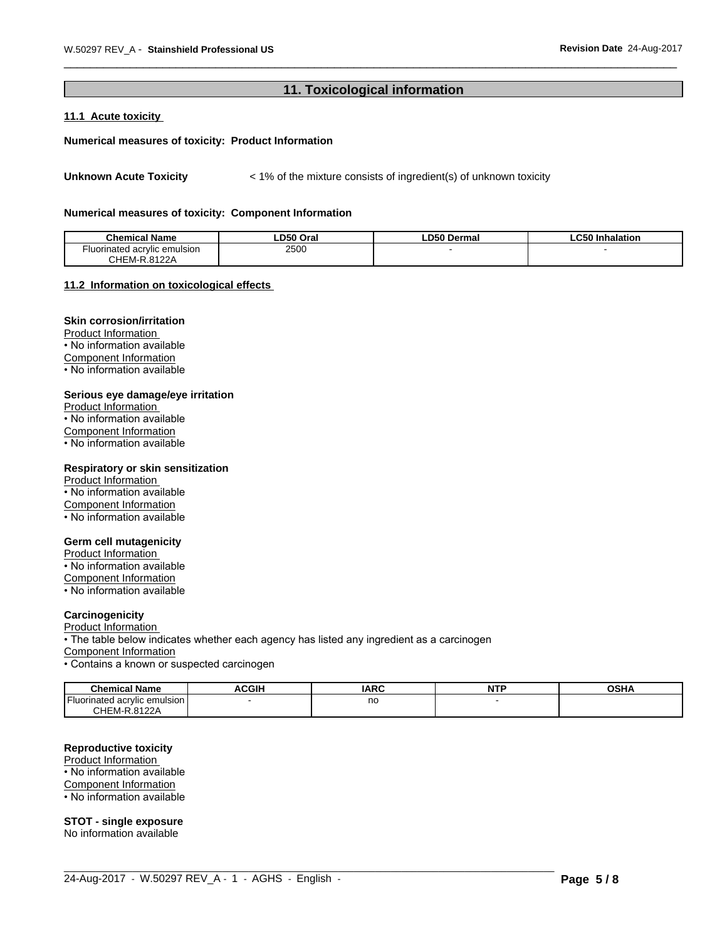# **11. Toxicological information**

# **11.1 Acute toxicity**

#### **Numerical measures of toxicity: Product Information**

Unknown Acute Toxicity  $\lt$  1% of the mixture consists of ingredient(s) of unknown toxicity

#### **Numerical measures of toxicity: Component Information**

| <b>Chemical Name</b>         | LD50 Oral | LD50 Dermal | <b>LC50 Inhalation</b> |
|------------------------------|-----------|-------------|------------------------|
| Fluorinated acrvlic emulsion | 2500      |             |                        |
| .4.8122A<br>CHEM-R.          |           |             |                        |

#### **11.2 Information on toxicologicaleffects**

# **Skin corrosion/irritation**

Product Information • No information available Component Information

• No information available

#### **Serious eye damage/eye irritation**

Product Information • No information available Component Information • No information available

#### **Respiratory or skin sensitization**

Product Information • No information available Component Information • No information available

#### **Germ cell mutagenicity**

Product Information • No information available Component Information • No information available

### **Carcinogenicity**

Product Information

• The table below indicates whether each agency has listed any ingredient as a carcinogen

Component Information

• Contains a known or suspected carcinogen

| $ -$<br><b>Chemical Name</b>                   | <b>ACGIH</b> | <b>IARC</b>  | ----<br>่ผ⊤<br>. | $\sim$ CUA<br>JJNA |
|------------------------------------------------|--------------|--------------|------------------|--------------------|
| .<br>I Fluorinated acrylic emulsion            |              | no<br>$\sim$ |                  |                    |
| $\cdot$ 400 $\cdot$<br>CHEM-R<br>7122r<br>ט.גו |              |              |                  |                    |

 $\_$  ,  $\_$  ,  $\_$  ,  $\_$  ,  $\_$  ,  $\_$  ,  $\_$  ,  $\_$  ,  $\_$  ,  $\_$  ,  $\_$  ,  $\_$  ,  $\_$  ,  $\_$  ,  $\_$  ,  $\_$  ,  $\_$  ,  $\_$  ,  $\_$  ,  $\_$  ,  $\_$  ,  $\_$  ,  $\_$  ,  $\_$  ,  $\_$  ,  $\_$  ,  $\_$  ,  $\_$  ,  $\_$  ,  $\_$  ,  $\_$  ,  $\_$  ,  $\_$  ,  $\_$  ,  $\_$  ,  $\_$  ,  $\_$  ,

# **Reproductive toxicity**

Product Information • No information available

Component Information

• No information available

**STOT - single exposure** No information available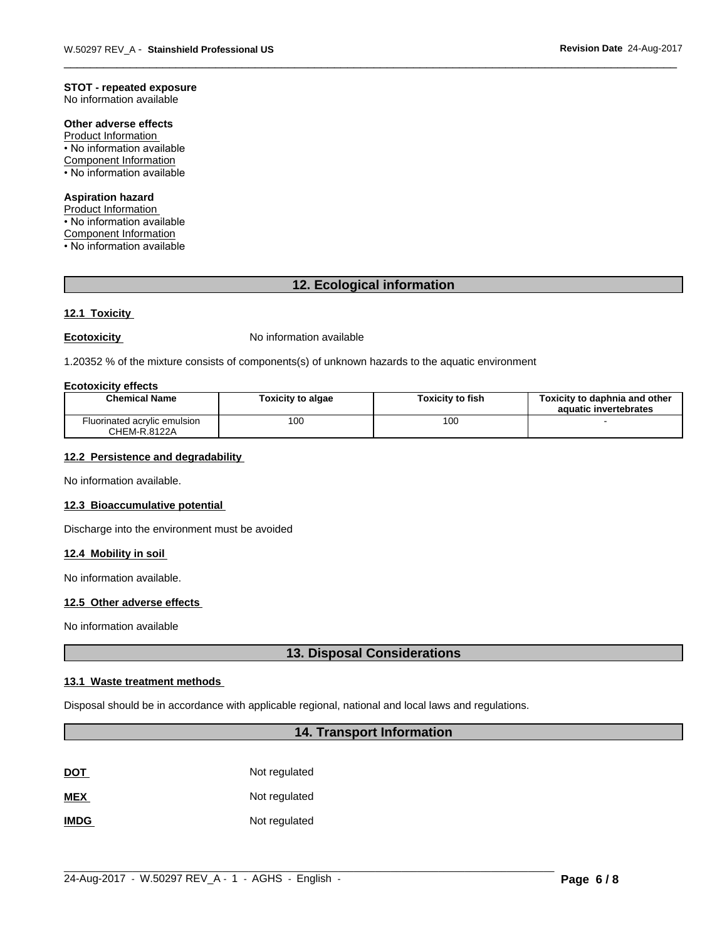# **STOT - repeated exposure**

No information available

# **Other adverse effects**

Product Information • No information available Component Information • No information available

# **Aspiration hazard**

Product Information

• No information available

Component Information

• No information available

# **12. Ecological information**

# **12.1 Toxicity**

**Ecotoxicity No information available** 

1.20352 % of the mixture consists of components(s) of unknown hazards to the aquatic environment

#### **Ecotoxicity effects**

| <b>Chemical Name</b>                         | Toxicitv to algae | Toxicitv to fish | Toxicity to daphnia and other<br>aquatic invertebrates |
|----------------------------------------------|-------------------|------------------|--------------------------------------------------------|
| Fluorinated acrylic emulsion<br>CHEM-R.8122A | 100               | 100              |                                                        |

#### **12.2 Persistence and degradability**

No information available.

#### **12.3 Bioaccumulative potential**

Discharge into the environment must be avoided

#### **12.4 Mobility in soil**

No information available.

#### **12.5 Other adverse effects**

No information available

# **13. Disposal Considerations**

# **13.1 Waste treatment methods**

Disposal should be in accordance with applicable regional, national and local laws and regulations.

# **14. Transport Information**

| <b>DOT</b>  | Not regulated |
|-------------|---------------|
| <b>MEX</b>  | Not regulated |
| <b>IMDG</b> | Not regulated |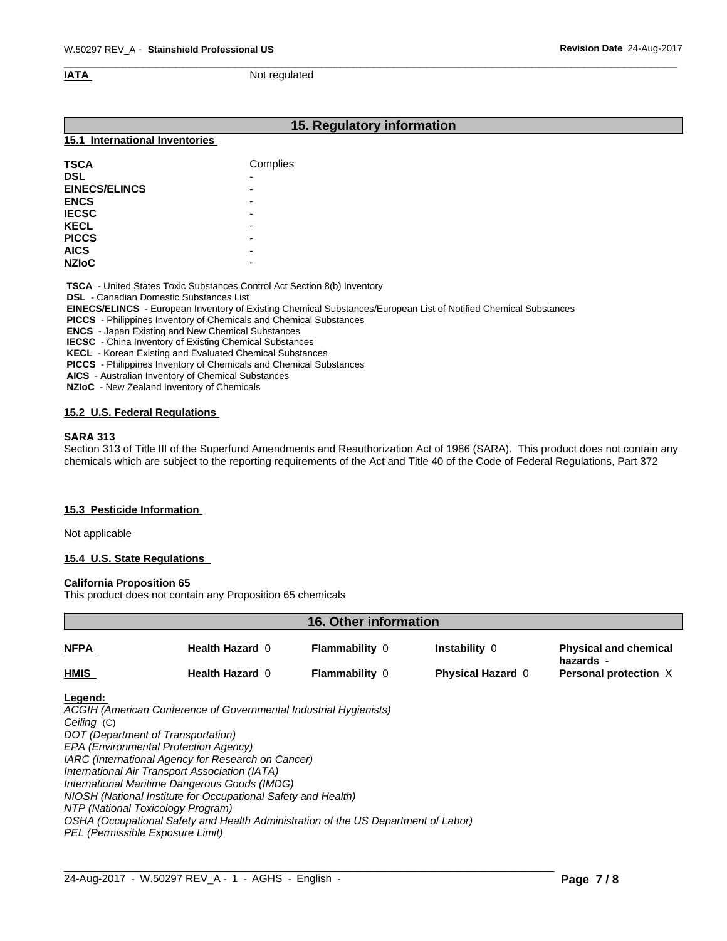**IATA** Not regulated

# **15. Regulatory information**

#### **15.1 International Inventories**

| <b>TSCA</b>          | Complies |
|----------------------|----------|
| <b>DSL</b>           | -        |
| <b>EINECS/ELINCS</b> | -        |
| <b>ENCS</b>          | -        |
| <b>IECSC</b>         | -        |
| <b>KECL</b>          | -        |
| <b>PICCS</b>         | -        |
| <b>AICS</b>          | -        |
| <b>NZIOC</b>         | -        |

 **TSCA** - United States Toxic Substances Control Act Section 8(b) Inventory

 **DSL** - Canadian Domestic Substances List

 **EINECS/ELINCS** - European Inventory of Existing Chemical Substances/European List of Notified Chemical Substances

 **PICCS** - Philippines Inventory of Chemicals and Chemical Substances

 **ENCS** - Japan Existing and New Chemical Substances

 **IECSC** - China Inventory of Existing Chemical Substances

 **KECL** - Korean Existing and Evaluated Chemical Substances

 **PICCS** - Philippines Inventory of Chemicals and Chemical Substances

 **AICS** - Australian Inventory of Chemical Substances

 **NZIoC** - New Zealand Inventory of Chemicals

### **15.2 U.S. Federal Regulations**

### **SARA 313**

Section 313 of Title III of the Superfund Amendments and Reauthorization Act of 1986 (SARA). This product does not contain any chemicals which are subject to the reporting requirements of the Act and Title 40 of the Code of Federal Regulations, Part 372

#### **15.3 Pesticide Information**

Not applicable

### **15.4 U.S. State Regulations**

# **California Proposition 65**

This product does not contain any Proposition 65 chemicals

| 16. Other information                                      |                                                                                                                                                                                                                                                                                                                                                                                                                                                                                                       |                       |                          |                                           |
|------------------------------------------------------------|-------------------------------------------------------------------------------------------------------------------------------------------------------------------------------------------------------------------------------------------------------------------------------------------------------------------------------------------------------------------------------------------------------------------------------------------------------------------------------------------------------|-----------------------|--------------------------|-------------------------------------------|
| NFPA                                                       | Health Hazard 0                                                                                                                                                                                                                                                                                                                                                                                                                                                                                       | <b>Flammability 0</b> | Instability 0            | <b>Physical and chemical</b><br>hazards - |
| HMIS                                                       | <b>Health Hazard 0</b>                                                                                                                                                                                                                                                                                                                                                                                                                                                                                | <b>Flammability 0</b> | <b>Physical Hazard 0</b> | Personal protection X                     |
| Legend:<br>Ceiling (C)<br>PEL (Permissible Exposure Limit) | ACGIH (American Conference of Governmental Industrial Hygienists)<br>DOT (Department of Transportation)<br>EPA (Environmental Protection Agency)<br>IARC (International Agency for Research on Cancer)<br>International Air Transport Association (IATA)<br>International Maritime Dangerous Goods (IMDG)<br>NIOSH (National Institute for Occupational Safety and Health)<br>NTP (National Toxicology Program)<br>OSHA (Occupational Safety and Health Administration of the US Department of Labor) |                       |                          |                                           |